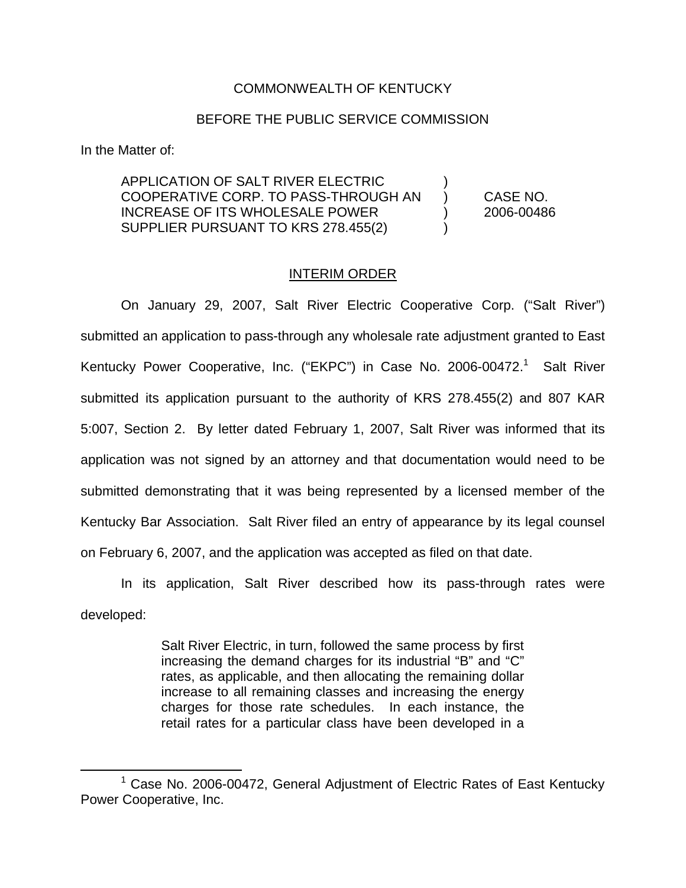## COMMONWEALTH OF KENTUCKY

## BEFORE THE PUBLIC SERVICE COMMISSION

In the Matter of:

APPLICATION OF SALT RIVER ELECTRIC ) COOPERATIVE CORP. TO PASS-THROUGH AN ) CASE NO. INCREASE OF ITS WHOLESALE POWER ) 2006-00486 SUPPLIER PURSUANT TO KRS 278.455(2)

## INTERIM ORDER

On January 29, 2007, Salt River Electric Cooperative Corp. ("Salt River") submitted an application to pass-through any wholesale rate adjustment granted to East Kentucky Power Cooperative, Inc. ("EKPC") in Case No. 2006-00472.<sup>1</sup> Salt River submitted its application pursuant to the authority of KRS 278.455(2) and 807 KAR 5:007, Section 2. By letter dated February 1, 2007, Salt River was informed that its application was not signed by an attorney and that documentation would need to be submitted demonstrating that it was being represented by a licensed member of the Kentucky Bar Association. Salt River filed an entry of appearance by its legal counsel on February 6, 2007, and the application was accepted as filed on that date.

In its application, Salt River described how its pass-through rates were developed:

> Salt River Electric, in turn, followed the same process by first increasing the demand charges for its industrial "B" and "C" rates, as applicable, and then allocating the remaining dollar increase to all remaining classes and increasing the energy charges for those rate schedules. In each instance, the retail rates for a particular class have been developed in a

<sup>1</sup> Case No. 2006-00472, General Adjustment of Electric Rates of East Kentucky Power Cooperative, Inc.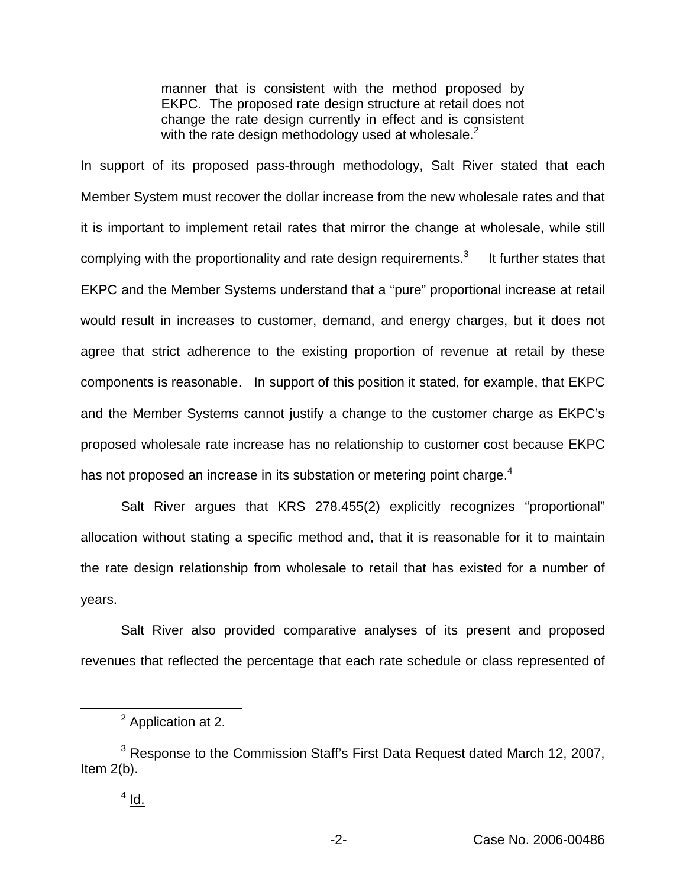manner that is consistent with the method proposed by EKPC. The proposed rate design structure at retail does not change the rate design currently in effect and is consistent with the rate design methodology used at wholesale. $<sup>2</sup>$ </sup>

In support of its proposed pass-through methodology, Salt River stated that each Member System must recover the dollar increase from the new wholesale rates and that it is important to implement retail rates that mirror the change at wholesale, while still complying with the proportionality and rate design requirements. $3$  It further states that EKPC and the Member Systems understand that a "pure" proportional increase at retail would result in increases to customer, demand, and energy charges, but it does not agree that strict adherence to the existing proportion of revenue at retail by these components is reasonable. In support of this position it stated, for example, that EKPC and the Member Systems cannot justify a change to the customer charge as EKPC's proposed wholesale rate increase has no relationship to customer cost because EKPC has not proposed an increase in its substation or metering point charge.<sup>4</sup>

Salt River argues that KRS 278.455(2) explicitly recognizes "proportional" allocation without stating a specific method and, that it is reasonable for it to maintain the rate design relationship from wholesale to retail that has existed for a number of years.

Salt River also provided comparative analyses of its present and proposed revenues that reflected the percentage that each rate schedule or class represented of

<sup>&</sup>lt;sup>2</sup> Application at 2.

<sup>&</sup>lt;sup>3</sup> Response to the Commission Staff's First Data Request dated March 12, 2007, Item 2(b).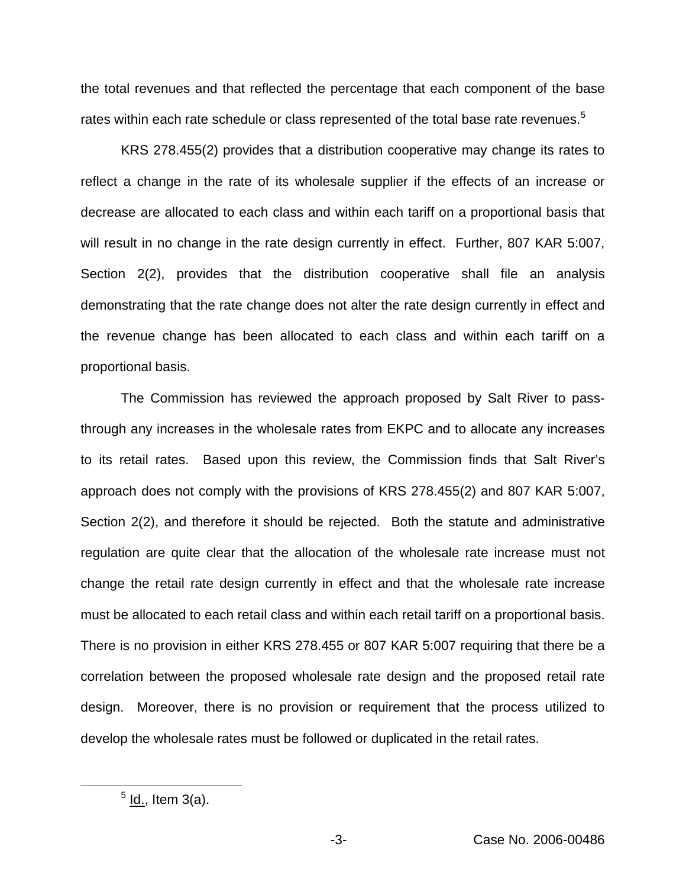the total revenues and that reflected the percentage that each component of the base rates within each rate schedule or class represented of the total base rate revenues.<sup>5</sup>

KRS 278.455(2) provides that a distribution cooperative may change its rates to reflect a change in the rate of its wholesale supplier if the effects of an increase or decrease are allocated to each class and within each tariff on a proportional basis that will result in no change in the rate design currently in effect. Further, 807 KAR 5:007, Section 2(2), provides that the distribution cooperative shall file an analysis demonstrating that the rate change does not alter the rate design currently in effect and the revenue change has been allocated to each class and within each tariff on a proportional basis.

The Commission has reviewed the approach proposed by Salt River to passthrough any increases in the wholesale rates from EKPC and to allocate any increases to its retail rates. Based upon this review, the Commission finds that Salt River's approach does not comply with the provisions of KRS 278.455(2) and 807 KAR 5:007, Section 2(2), and therefore it should be rejected. Both the statute and administrative regulation are quite clear that the allocation of the wholesale rate increase must not change the retail rate design currently in effect and that the wholesale rate increase must be allocated to each retail class and within each retail tariff on a proportional basis. There is no provision in either KRS 278.455 or 807 KAR 5:007 requiring that there be a correlation between the proposed wholesale rate design and the proposed retail rate design. Moreover, there is no provision or requirement that the process utilized to develop the wholesale rates must be followed or duplicated in the retail rates.

 $<sup>5</sup>$  ld., Item 3(a).</sup>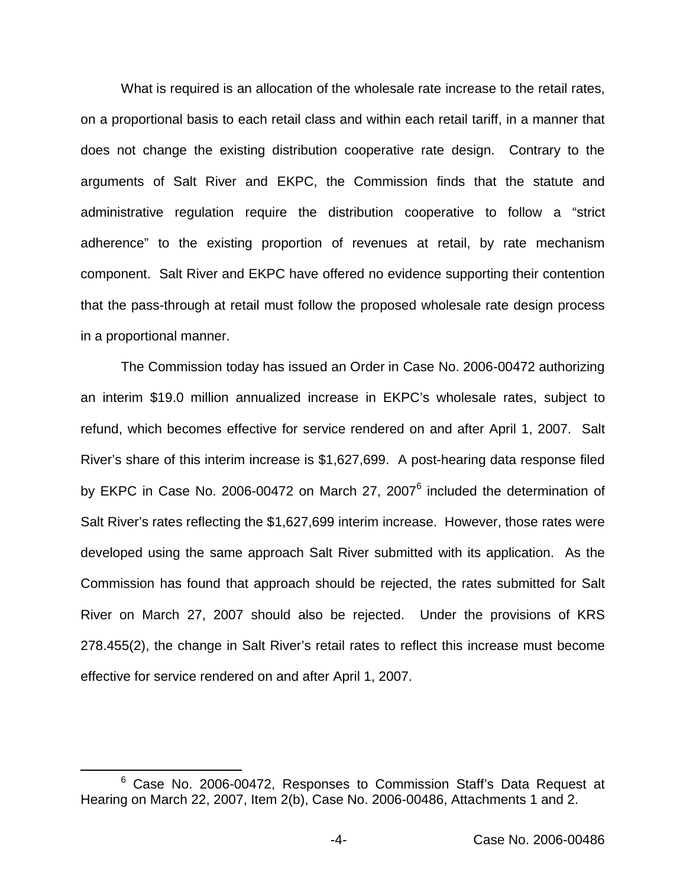What is required is an allocation of the wholesale rate increase to the retail rates, on a proportional basis to each retail class and within each retail tariff, in a manner that does not change the existing distribution cooperative rate design. Contrary to the arguments of Salt River and EKPC, the Commission finds that the statute and administrative regulation require the distribution cooperative to follow a "strict adherence" to the existing proportion of revenues at retail, by rate mechanism component. Salt River and EKPC have offered no evidence supporting their contention that the pass-through at retail must follow the proposed wholesale rate design process in a proportional manner.

The Commission today has issued an Order in Case No. 2006-00472 authorizing an interim \$19.0 million annualized increase in EKPC's wholesale rates, subject to refund, which becomes effective for service rendered on and after April 1, 2007. Salt River's share of this interim increase is \$1,627,699. A post-hearing data response filed by EKPC in Case No. 2006-00472 on March 27, 2007<sup>6</sup> included the determination of Salt River's rates reflecting the \$1,627,699 interim increase. However, those rates were developed using the same approach Salt River submitted with its application. As the Commission has found that approach should be rejected, the rates submitted for Salt River on March 27, 2007 should also be rejected. Under the provisions of KRS 278.455(2), the change in Salt River's retail rates to reflect this increase must become effective for service rendered on and after April 1, 2007.

<sup>&</sup>lt;sup>6</sup> Case No. 2006-00472, Responses to Commission Staff's Data Request at Hearing on March 22, 2007, Item 2(b), Case No. 2006-00486, Attachments 1 and 2.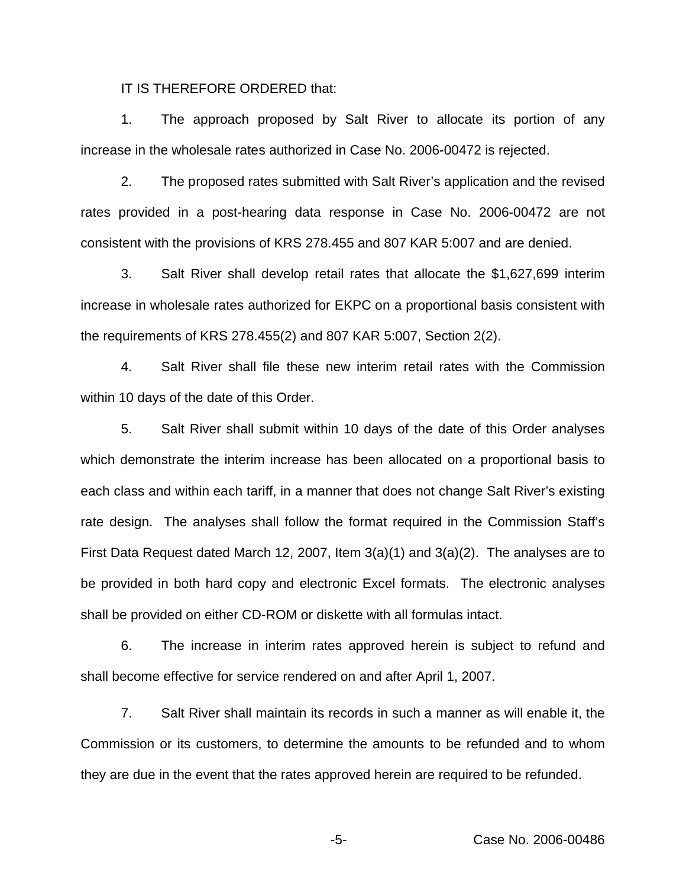IT IS THEREFORE ORDERED that:

1. The approach proposed by Salt River to allocate its portion of any increase in the wholesale rates authorized in Case No. 2006-00472 is rejected.

2. The proposed rates submitted with Salt River's application and the revised rates provided in a post-hearing data response in Case No. 2006-00472 are not consistent with the provisions of KRS 278.455 and 807 KAR 5:007 and are denied.

3. Salt River shall develop retail rates that allocate the \$1,627,699 interim increase in wholesale rates authorized for EKPC on a proportional basis consistent with the requirements of KRS 278.455(2) and 807 KAR 5:007, Section 2(2).

4. Salt River shall file these new interim retail rates with the Commission within 10 days of the date of this Order.

5. Salt River shall submit within 10 days of the date of this Order analyses which demonstrate the interim increase has been allocated on a proportional basis to each class and within each tariff, in a manner that does not change Salt River's existing rate design. The analyses shall follow the format required in the Commission Staff's First Data Request dated March 12, 2007, Item 3(a)(1) and 3(a)(2). The analyses are to be provided in both hard copy and electronic Excel formats. The electronic analyses shall be provided on either CD-ROM or diskette with all formulas intact.

6. The increase in interim rates approved herein is subject to refund and shall become effective for service rendered on and after April 1, 2007.

7. Salt River shall maintain its records in such a manner as will enable it, the Commission or its customers, to determine the amounts to be refunded and to whom they are due in the event that the rates approved herein are required to be refunded.

-5- Case No. 2006-00486